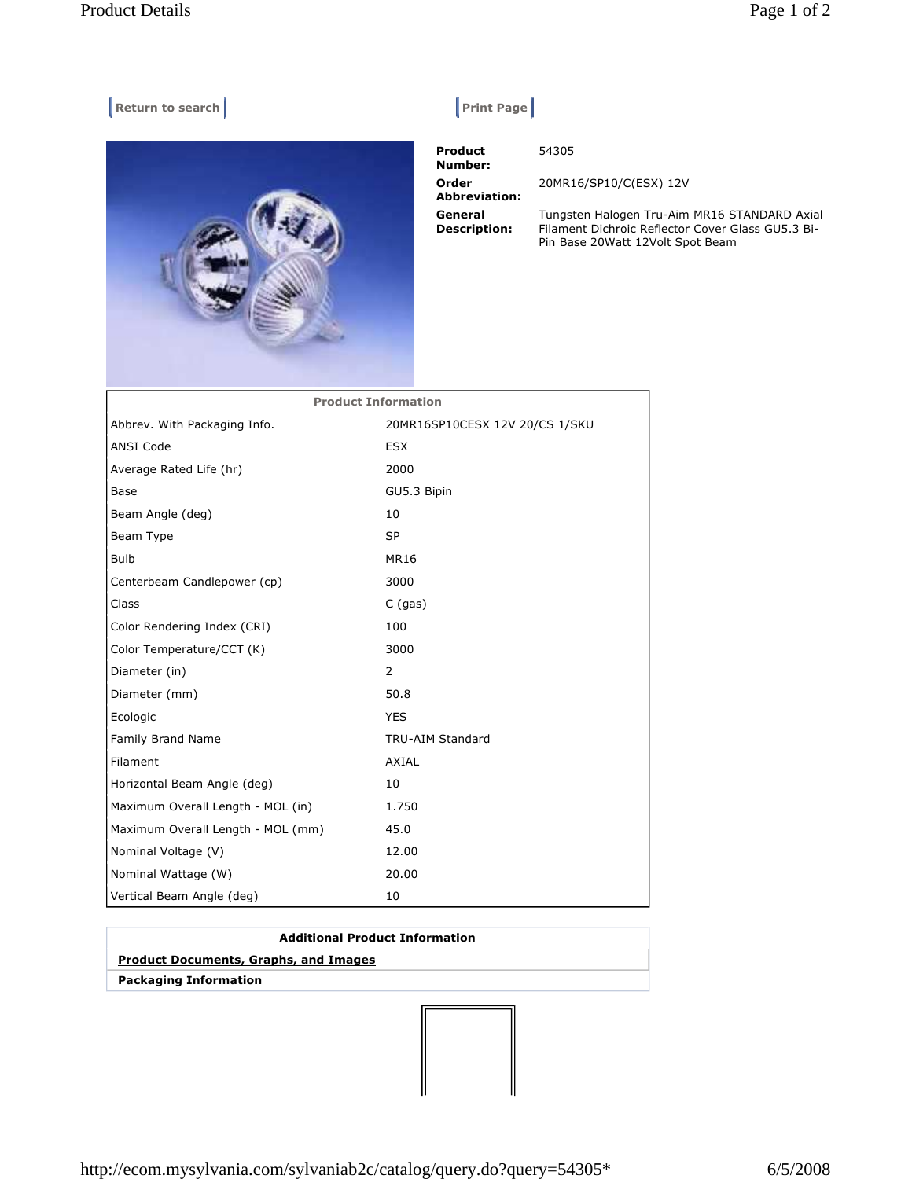## **Return to search Return Construction Construction Construction Print Page |**



 **Product Number: Order Abbreviation: General Description:** 

54305

20MR16/SP10/C(ESX) 12V

Tungsten Halogen Tru-Aim MR16 STANDARD Axial Filament Dichroic Reflector Cover Glass GU5.3 Bi-Pin Base 20Watt 12Volt Spot Beam

| <b>Product Information</b>        |                                |
|-----------------------------------|--------------------------------|
| Abbrev. With Packaging Info.      | 20MR16SP10CESX 12V 20/CS 1/SKU |
| <b>ANSI Code</b>                  | <b>ESX</b>                     |
| Average Rated Life (hr)           | 2000                           |
| Base                              | GU5.3 Bipin                    |
| Beam Angle (deg)                  | 10                             |
| Beam Type                         | <b>SP</b>                      |
| Bulb                              | MR16                           |
| Centerbeam Candlepower (cp)       | 3000                           |
| Class                             | $C$ (gas)                      |
| Color Rendering Index (CRI)       | 100                            |
| Color Temperature/CCT (K)         | 3000                           |
| Diameter (in)                     | $\overline{2}$                 |
| Diameter (mm)                     | 50.8                           |
| Ecologic                          | <b>YES</b>                     |
| Family Brand Name                 | <b>TRU-AIM Standard</b>        |
| Filament                          | <b>AXIAL</b>                   |
| Horizontal Beam Angle (deg)       | 10                             |
| Maximum Overall Length - MOL (in) | 1.750                          |
| Maximum Overall Length - MOL (mm) | 45.0                           |
| Nominal Voltage (V)               | 12.00                          |
| Nominal Wattage (W)               | 20.00                          |
| Vertical Beam Angle (deg)         | 10                             |

## **Additional Product Information Product Documents, Graphs, and Images**

 **Packaging Information**